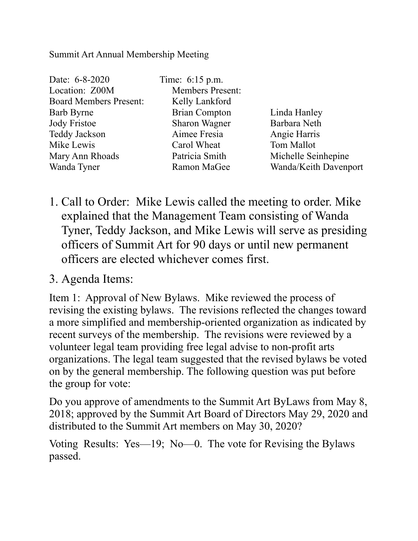## Summit Art Annual Membership Meeting

| Date: 6-8-2020                |
|-------------------------------|
| Location: Z00M                |
| <b>Board Members Present:</b> |
| <b>Barb Byrne</b>             |
| <b>Jody Fristoe</b>           |
| <b>Teddy Jackson</b>          |
| Mike Lewis                    |
| Mary Ann Rhoads               |
| Wanda Tyner                   |
|                               |

Time:  $6:15$  p.m. Members Present: Kelly Lankford Brian Compton Linda Hanley Sharon Wagner Barbara Neth Aimee Fresia Angie Harris Carol Wheat Tom Mallot

Patricia Smith Michelle Seinhepine Ramon MaGee Wanda/Keith Davenport

1. Call to Order: Mike Lewis called the meeting to order. Mike explained that the Management Team consisting of Wanda Tyner, Teddy Jackson, and Mike Lewis will serve as presiding officers of Summit Art for 90 days or until new permanent officers are elected whichever comes first.

## 3. Agenda Items:

Item 1: Approval of New Bylaws. Mike reviewed the process of revising the existing bylaws. The revisions reflected the changes toward a more simplified and membership-oriented organization as indicated by recent surveys of the membership. The revisions were reviewed by a volunteer legal team providing free legal advise to non-profit arts organizations. The legal team suggested that the revised bylaws be voted on by the general membership. The following question was put before the group for vote:

Do you approve of amendments to the Summit Art ByLaws from May 8, 2018; approved by the Summit Art Board of Directors May 29, 2020 and distributed to the Summit Art members on May 30, 2020?

Voting Results: Yes—19; No—0. The vote for Revising the Bylaws passed.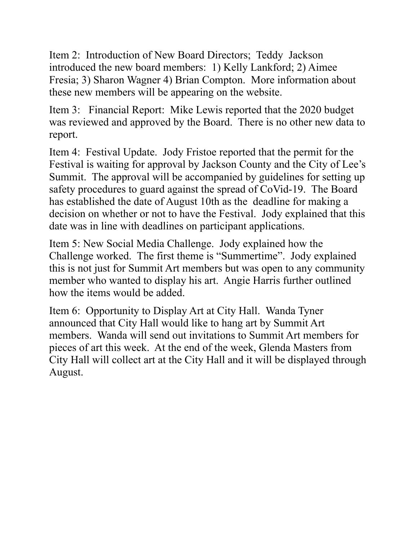Item 2: Introduction of New Board Directors; Teddy Jackson introduced the new board members: 1) Kelly Lankford; 2) Aimee Fresia; 3) Sharon Wagner 4) Brian Compton. More information about these new members will be appearing on the website.

Item 3: Financial Report: Mike Lewis reported that the 2020 budget was reviewed and approved by the Board. There is no other new data to report.

Item 4: Festival Update. Jody Fristoe reported that the permit for the Festival is waiting for approval by Jackson County and the City of Lee's Summit. The approval will be accompanied by guidelines for setting up safety procedures to guard against the spread of CoVid-19. The Board has established the date of August 10th as the deadline for making a decision on whether or not to have the Festival. Jody explained that this date was in line with deadlines on participant applications.

Item 5: New Social Media Challenge. Jody explained how the Challenge worked. The first theme is "Summertime". Jody explained this is not just for Summit Art members but was open to any community member who wanted to display his art. Angie Harris further outlined how the items would be added.

Item 6: Opportunity to Display Art at City Hall. Wanda Tyner announced that City Hall would like to hang art by Summit Art members. Wanda will send out invitations to Summit Art members for pieces of art this week. At the end of the week, Glenda Masters from City Hall will collect art at the City Hall and it will be displayed through August.